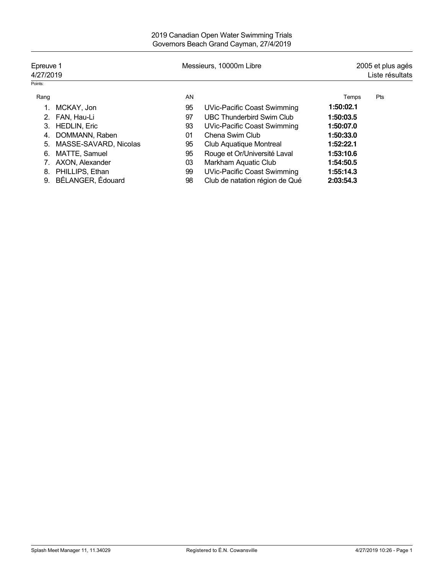| Epreuve 1<br>4/27/2019 |                       | Messieurs, 10000m Libre |                                    | 2005 et plus agés<br>Liste résultats |     |
|------------------------|-----------------------|-------------------------|------------------------------------|--------------------------------------|-----|
| Points:                |                       |                         |                                    |                                      |     |
| Rang                   |                       | AN                      |                                    | Temps                                | Pts |
|                        | MCKAY, Jon            | 95                      | UVic-Pacific Coast Swimming        | 1:50:02.1                            |     |
| 2.                     | FAN, Hau-Li           | 97                      | <b>UBC Thunderbird Swim Club</b>   | 1:50:03.5                            |     |
| 3.                     | <b>HEDLIN, Eric</b>   | 93                      | UVic-Pacific Coast Swimming        | 1:50:07.0                            |     |
| 4.                     | DOMMANN, Raben        | 01                      | Chena Swim Club                    | 1:50:33.0                            |     |
| 5.                     | MASSE-SAVARD, Nicolas | 95                      | Club Aquatique Montreal            | 1:52:22.1                            |     |
| 6.                     | MATTE, Samuel         | 95                      | Rouge et Or/Université Laval       | 1:53:10.6                            |     |
|                        | AXON, Alexander       | 03                      | Markham Aquatic Club               | 1:54:50.5                            |     |
| 8.                     | PHILLIPS, Ethan       | 99                      | <b>UVic-Pacific Coast Swimming</b> | 1:55:14.3                            |     |
| 9.                     | BÉLANGER, Édouard     | 98                      | Club de natation région de Qué     | 2:03:54.3                            |     |